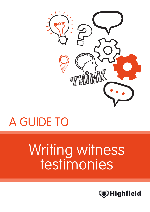

# A GUIDE TO

# Writing witness testimonies

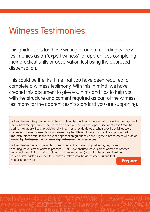## Witness Testimonies

This guidance is for those writing or audio recording witness testimonies as an 'expert witness' for apprentices completing their practical skills or observation test using the approved dispensation.

This could be the first time that you have been required to complete a witness testimony. With this in mind, we have created this document to give you hints and tips to help you with the structure and content required as part of the witness testimony for the apprenticeship standard you are supporting.

Witness testimonies provided must be completed by a witness who is working at a line management level above the apprentice. They must also have worked with the apprentice for at least 3 months during their apprenticeship. Additionally, they must provide dates of when specific activities were witnessed. The requirements for witnesses may be different for each apprenticeship standard. Therefore please refer to the relevant dispensation guidance via the Highfield Assessment website at **www.highfieldassessment.com/end-point-assessment-resources**.

**Prepare** Witness testimonies can be written or recorded in the present or past tense, i.e., 'Dave is ensuring the customer wants to proceed….' or 'Dave ensured the customer wanted to proceed…' You should refrain from giving opinions on how well (or not) you think the apprentice doing. Instead, state facts as you see them that are relevant to the assessment criteria that needs to be covered.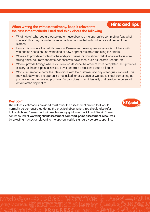### **Hints and Tips When writing the witness testimony, keep it relevant to the assessment criteria listed and think about the following.**

- What detail what you are observing or have observed the apprentice completing, 'say what you see'. This may be written or recorded and annotated with authenticity, date and time stamps.
- How this is where the detail comes in. Remember the end-point assessor is not there with you and so needs an understanding of how apprentices are completing their tasks.
- Where to provide a context to the end-point assessor, you should detail where activities are taking place. You may annotate evidence you have seen, such as records, reports, etc.
- When provide timings where you can and describe the order of tasks completed. This provides a 'story' to the end-point assessor. If over separate occasions include all dates.
- Who remember to detail the interactions with the customer and any colleagues involved. This may include where the apprentice has asked for assistance or wanted to check something as part of standard operating practices. Be conscious of confidentiality and provide no personal details of the apprentice.

#### **Key point**

The witness testimonies provided must cover the assessment criteria that would normally be demonstrated during the practical observation. You should also refer to the Highfield Assessment witness testimony guidance tool kit and EPA kit. These can be found at **www.highfieldassessment.com/end-point-assessment-resources** by selecting the sector relevant to the apprenticeship standard you are supporting.

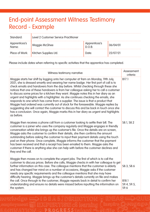### End-point Assessment Witness Testimony Record - Example

| Standard:              | Level 2 Customer Service Practitioner  |                         |          |
|------------------------|----------------------------------------|-------------------------|----------|
| Apprentices's<br>Name: | Maggie McGhee                          | Apprentices's<br>D.O.B: | 06/04/01 |
|                        | Place of Work:   Kitchen Supplies Ltd. | Date:                   | 22/07/21 |

Please include dates when referring to specific activities that the apprentice has completed.

| Witness testimony narrative                                                                                                                                                                                                                                                                                                                                                                                                                                                                                                                                                                                                                                                                                                                                                                                                                                                                                            | Assessment<br>criteria                     |
|------------------------------------------------------------------------------------------------------------------------------------------------------------------------------------------------------------------------------------------------------------------------------------------------------------------------------------------------------------------------------------------------------------------------------------------------------------------------------------------------------------------------------------------------------------------------------------------------------------------------------------------------------------------------------------------------------------------------------------------------------------------------------------------------------------------------------------------------------------------------------------------------------------------------|--------------------------------------------|
| Maggie starts her shift by logging onto her computer at 9am on Monday, 19th July,<br>2021, she is dressed smartly and wearing her name badge. Her first port of call is to<br>check emails and handovers from the day before. Whilst checking through these she<br>notices that one of these handovers is from her colleague asking her to call a customer<br>to discuss some prices for a kitchen they want. Maggie notes this in her diary as an<br>urgent and highlights with a highlighter. As she continues checking the emails, she<br>responds to one which has come from a supplier. The issue is that a product that<br>Maggie had ordered was currently out of stock for the foreseeable. Maggie replies by<br>suggesting she will contact the customer to discuss this and be back in touch once she<br>has a conclusion. Once again, Maggie marks this in her diary as urgent and highlights<br>as before. | B17.1                                      |
| Maggie then receives a phone call from a customer looking to settle their bill. The<br>customer is a joiner who uses the company regularly and Maggie engages in friendly<br>conversation whilst she brings up the customer's file. Once the details are on screen,<br>Maggie asks the customer to confirm their details, she then confirms the amount<br>outstanding before asking the customer to input their payment details using the touch<br>pad on their phone. Once complete, Maggie informs the customer that the payment<br>has been received and that a receipt has been emailed to them. Maggie asks the<br>customer if there is anything else she can help with before the customer declines and<br>they end the call.                                                                                                                                                                                    | S8.1, S8.2                                 |
| Maggie then moves on to complete the urgent jobs. The first of which is to call the<br>customer to discuss prices. Before she calls, Maggie checks in with her colleague to get<br>further information on this case. The colleague mentions that the customer is elderly<br>and has changed her mind on a number of occasions, Maggie asks if the customer<br>needs any specific requirements and the colleague mentions that she may have<br>difficulty hearing. Maggie brings up the customer's details currently on file and makes<br>the call. Once through to the customer, Maggie repeats back in detail to confirm her<br>understanding and ensure no details were missed before inputting the information on<br>the system.                                                                                                                                                                                    | S8.3, S8.6<br>B18.1<br>S9.4, S9.5,<br>S9.6 |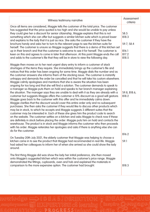| Witness testimony narrative                                                                                                                                                                                                                                                                                                                                                                                                                                                                                                                                                                                                                                                                                                                                                                                                                                                                                                                                                                                                                                                                                                                                                                                                                                                                                                                                                                                                                                                                                                                                                                                                                                                                                                                                                             | Assessment<br>criteria                                 |
|-----------------------------------------------------------------------------------------------------------------------------------------------------------------------------------------------------------------------------------------------------------------------------------------------------------------------------------------------------------------------------------------------------------------------------------------------------------------------------------------------------------------------------------------------------------------------------------------------------------------------------------------------------------------------------------------------------------------------------------------------------------------------------------------------------------------------------------------------------------------------------------------------------------------------------------------------------------------------------------------------------------------------------------------------------------------------------------------------------------------------------------------------------------------------------------------------------------------------------------------------------------------------------------------------------------------------------------------------------------------------------------------------------------------------------------------------------------------------------------------------------------------------------------------------------------------------------------------------------------------------------------------------------------------------------------------------------------------------------------------------------------------------------------------|--------------------------------------------------------|
| Once all items are considered, Maggie tells the customer of the total price. The customer<br>has suggested that the price quoted is too high and she would be unable to pay unless<br>they could give her a discount for senior citizenship, Maggie explains that this is not<br>something which she can offer but suggests a similar kitchen suite which is priced lower<br>and explains to the lady that it is just as nice. She asks the customer if they have the<br>brochure handy and asks her to turn to the relevant page to see the kitchen suite for<br>herself. The customer is unsure so Maggie suggests that there is a demo of this kitchen set<br>up in their branch and that the customer is welcome to see it for herself. The customer is<br>keen on this and agrees to come in later that afternoon. At this point Maggie ends the call<br>and adds to the customer's file that they will be in store to view the following day.                                                                                                                                                                                                                                                                                                                                                                                                                                                                                                                                                                                                                                                                                                                                                                                                                                     | S8.5<br>B18.3<br>S9.7, S8.4<br>B16.1<br>B17.2<br>B18.5 |
| Maggie then moves on to her next urgent diary entry to inform a customer of stack<br>shortages of the items they require. She immediately brings up the customer's file and<br>notices that this order has been ongoing for some time. Maggie dials the number and as<br>the customer answers she informs them of the stocking issue. The customer is instantly<br>unhappy and demands the order be cancelled and that he will take his custom elsewhere.<br>Maggie calmly apologises and mentions that she is aware the situation has been<br>ongoing for too long and that she will find a solution. The customer demands to speak to<br>a manager so Maggie puts them on hold and speaks to her branch manager explaining<br>the situation. The manager says they are unable to deal with it as they are already with a<br>customer but suggests Maggie offers the customer a 10% discount as a good will gesture.<br>Maggie goes back to the customer with this offer and he immediately calms down.<br>Maggie clarifies that the discount would cover this entire order only and no subsequent<br>purchases. She then asks the customer if they would like to discuss other products which<br>may be in stock, to which he accepts and Maggie suggests 3 different suites that the<br>customer may be interested in. Each of these she gives him the product code to search<br>on the website. The customer settles on a kitchen and asks Maggie to check now if these<br>are definitely in stock before placing the order. Maggie puts him on hold and contacts the<br>warehouse. The product is in stock and Maggie informs the customer who then proceeds<br>with his order. Maggie reiterates her apologies and asks if there is anything else she can<br>do for the customer. | S9.8, B18.6,<br>B18.2                                  |
| On Tuesday 20th July 2021, the elderly customer that Maggie was helping to choose a<br>kitchen came in to see the product that Maggie had recommended in real life. Maggie<br>had asked her colleagues to inform her of when she arrived so she could show the lady<br>around.                                                                                                                                                                                                                                                                                                                                                                                                                                                                                                                                                                                                                                                                                                                                                                                                                                                                                                                                                                                                                                                                                                                                                                                                                                                                                                                                                                                                                                                                                                          | B16.2<br>S9.1                                          |
| The first thing Maggie did was show the lady her initial preference, she then moved<br>onto Maggie's suggested kitchen which was within the customer's price range. Maggie<br>demonstrated the fittings, cupboards, oven and hob and explained the materials in<br>comparison to the more expensive option. The customer had brought.                                                                                                                                                                                                                                                                                                                                                                                                                                                                                                                                                                                                                                                                                                                                                                                                                                                                                                                                                                                                                                                                                                                                                                                                                                                                                                                                                                                                                                                   | B18.3                                                  |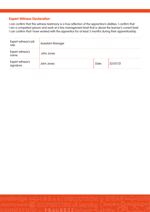#### **Expert Witness Declaration**

I can confirm that this witness testimony is a true reflection of the apprentice's abilities. I confirm that I am a competent person and work at a line management level that is above the learner's current level. I can confirm that I have worked with the apprentice for at least 3 months during their apprenticeship.

| Expert witness's job<br>role:  | <b>Assistant Manager</b> |       |          |
|--------------------------------|--------------------------|-------|----------|
| Expert witness's<br>name:      | John Jones               |       |          |
| Expert witness's<br>signature: | John Jones               | Date: | 22/07/21 |